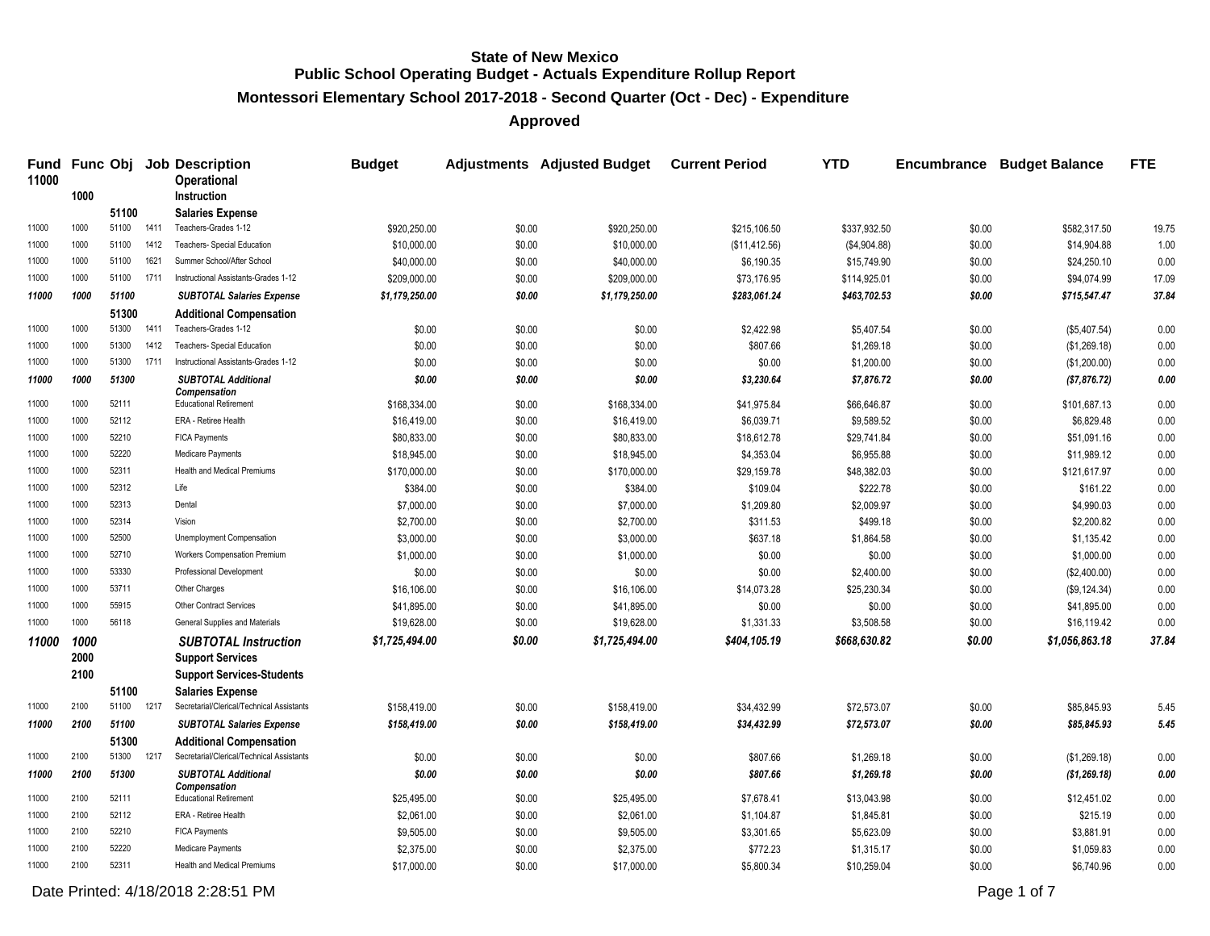**Montessori Elementary School 2017-2018 - Second Quarter (Oct - Dec) - Expenditure**

**Approved**

| Fund<br>11000 |              |       |      | <b>Func Obj Job Description</b><br><b>Operational</b>  | <b>Budget</b>  |        | Adjustments Adjusted Budget Current Period |               | <b>YTD</b>   | Encumbrance | <b>Budget Balance</b> | <b>FTE</b> |
|---------------|--------------|-------|------|--------------------------------------------------------|----------------|--------|--------------------------------------------|---------------|--------------|-------------|-----------------------|------------|
|               | 1000         |       |      | Instruction                                            |                |        |                                            |               |              |             |                       |            |
|               |              | 51100 |      | <b>Salaries Expense</b>                                |                |        |                                            |               |              |             |                       |            |
| 11000         | 1000         | 51100 | 1411 | Teachers-Grades 1-12                                   | \$920,250.00   | \$0.00 | \$920,250.00                               | \$215,106.50  | \$337.932.50 | \$0.00      | \$582,317.50          | 19.75      |
| 11000         | 1000         | 51100 | 1412 | <b>Teachers- Special Education</b>                     | \$10,000.00    | \$0.00 | \$10,000.00                                | (\$11,412.56) | (\$4,904.88) | \$0.00      | \$14,904.88           | 1.00       |
| 11000         | 1000         | 51100 | 1621 | Summer School/After School                             | \$40,000.00    | \$0.00 | \$40,000.00                                | \$6,190.35    | \$15,749.90  | \$0.00      | \$24,250.10           | 0.00       |
| 11000         | 1000         | 51100 | 1711 | Instructional Assistants-Grades 1-12                   | \$209,000.00   | \$0.00 | \$209,000.00                               | \$73,176.95   | \$114,925.01 | \$0.00      | \$94,074.99           | 17.09      |
| 11000         | 1000         | 51100 |      | <b>SUBTOTAL Salaries Expense</b>                       | \$1,179,250.00 | \$0.00 | \$1,179,250.00                             | \$283,061.24  | \$463,702.53 | \$0.00      | \$715,547.47          | 37.84      |
|               |              | 51300 |      | <b>Additional Compensation</b>                         |                |        |                                            |               |              |             |                       |            |
| 11000         | 1000         | 51300 | 1411 | Teachers-Grades 1-12                                   | \$0.00         | \$0.00 | \$0.00                                     | \$2,422.98    | \$5,407.54   | \$0.00      | (\$5,407.54)          | 0.00       |
| 11000         | 1000         | 51300 | 1412 | Teachers- Special Education                            | \$0.00         | \$0.00 | \$0.00                                     | \$807.66      | \$1.269.18   | \$0.00      | (\$1,269.18)          | 0.00       |
| 11000         | 1000         | 51300 | 1711 | Instructional Assistants-Grades 1-12                   | \$0.00         | \$0.00 | \$0.00                                     | \$0.00        | \$1,200.00   | \$0.00      | (\$1,200.00)          | 0.00       |
| 11000         | 1000         | 51300 |      | <b>SUBTOTAL Additional</b><br>Compensation             | \$0.00         | \$0.00 | \$0.00                                     | \$3,230.64    | \$7,876.72   | \$0.00      | (\$7,876.72)          | 0.00       |
| 11000         | 1000         | 52111 |      | <b>Educational Retirement</b>                          | \$168,334.00   | \$0.00 | \$168,334.00                               | \$41,975.84   | \$66,646.87  | \$0.00      | \$101,687.13          | 0.00       |
| 11000         | 1000         | 52112 |      | ERA - Retiree Health                                   | \$16,419.00    | \$0.00 | \$16,419.00                                | \$6,039.71    | \$9,589.52   | \$0.00      | \$6,829.48            | 0.00       |
| 11000         | 1000         | 52210 |      | <b>FICA Payments</b>                                   | \$80,833.00    | \$0.00 | \$80,833.00                                | \$18,612.78   | \$29,741.84  | \$0.00      | \$51,091.16           | 0.00       |
| 11000         | 1000         | 52220 |      | Medicare Payments                                      | \$18,945.00    | \$0.00 | \$18,945.00                                | \$4,353.04    | \$6,955.88   | \$0.00      | \$11,989.12           | 0.00       |
| 11000         | 1000         | 52311 |      | Health and Medical Premiums                            | \$170,000.00   | \$0.00 | \$170,000.00                               | \$29,159.78   | \$48,382.03  | \$0.00      | \$121,617.97          | 0.00       |
| 11000         | 1000         | 52312 |      | Life                                                   | \$384.00       | \$0.00 | \$384.00                                   | \$109.04      | \$222.78     | \$0.00      | \$161.22              | 0.00       |
| 11000         | 1000         | 52313 |      | Dental                                                 | \$7,000.00     | \$0.00 | \$7,000.00                                 | \$1,209.80    | \$2,009.97   | \$0.00      | \$4,990.03            | 0.00       |
| 11000         | 1000         | 52314 |      | Vision                                                 | \$2,700.00     | \$0.00 | \$2,700.00                                 | \$311.53      | \$499.18     | \$0.00      | \$2,200.82            | 0.00       |
| 11000         | 1000         | 52500 |      | Unemployment Compensation                              | \$3,000.00     | \$0.00 | \$3,000.00                                 | \$637.18      | \$1,864.58   | \$0.00      | \$1,135.42            | 0.00       |
| 11000         | 1000         | 52710 |      | Workers Compensation Premium                           | \$1,000.00     | \$0.00 | \$1,000.00                                 | \$0.00        | \$0.00       | \$0.00      | \$1,000.00            | 0.00       |
| 11000         | 1000         | 53330 |      | Professional Development                               | \$0.00         | \$0.00 | \$0.00                                     | \$0.00        | \$2,400.00   | \$0.00      | (\$2,400.00)          | 0.00       |
| 11000         | 1000         | 53711 |      | Other Charges                                          | \$16,106.00    | \$0.00 | \$16,106.00                                | \$14,073.28   | \$25,230.34  | \$0.00      | (\$9,124.34)          | 0.00       |
| 11000         | 1000         | 55915 |      | Other Contract Services                                | \$41,895.00    | \$0.00 | \$41,895.00                                | \$0.00        | \$0.00       | \$0.00      | \$41,895.00           | 0.00       |
| 11000         | 1000         | 56118 |      | General Supplies and Materials                         | \$19,628.00    | \$0.00 | \$19,628.00                                | \$1,331.33    | \$3,508.58   | \$0.00      | \$16,119.42           | 0.00       |
| 11000         | 1000<br>2000 |       |      | <b>SUBTOTAL Instruction</b><br><b>Support Services</b> | \$1,725,494.00 | \$0.00 | \$1,725,494.00                             | \$404,105.19  | \$668,630.82 | \$0.00      | \$1,056,863.18        | 37.84      |
|               | 2100         |       |      | <b>Support Services-Students</b>                       |                |        |                                            |               |              |             |                       |            |
|               |              | 51100 |      | <b>Salaries Expense</b>                                |                |        |                                            |               |              |             |                       |            |
| 11000         | 2100         | 51100 | 1217 | Secretarial/Clerical/Technical Assistants              | \$158,419.00   | \$0.00 | \$158,419.00                               | \$34,432.99   | \$72,573.07  | \$0.00      | \$85,845.93           | 5.45       |
| 11000         | 2100         | 51100 |      | <b>SUBTOTAL Salaries Expense</b>                       | \$158,419.00   | \$0.00 | \$158,419.00                               | \$34,432.99   | \$72,573.07  | \$0.00      | \$85,845.93           | 5.45       |
|               |              | 51300 |      | <b>Additional Compensation</b>                         |                |        |                                            |               |              |             |                       |            |
| 11000         | 2100         | 51300 | 1217 | Secretarial/Clerical/Technical Assistants              | \$0.00         | \$0.00 | \$0.00                                     | \$807.66      | \$1,269.18   | \$0.00      | (\$1,269.18)          | 0.00       |
| 11000         | 2100         | 51300 |      | <b>SUBTOTAL Additional</b><br>Compensation             | \$0.00         | \$0.00 | \$0.00                                     | \$807.66      | \$1,269.18   | \$0.00      | ( \$1,269.18)         | 0.00       |
| 11000         | 2100         | 52111 |      | <b>Educational Retirement</b>                          | \$25,495.00    | \$0.00 | \$25,495.00                                | \$7,678.41    | \$13,043.98  | \$0.00      | \$12,451.02           | 0.00       |
| 11000         | 2100         | 52112 |      | ERA - Retiree Health                                   | \$2,061.00     | \$0.00 | \$2,061.00                                 | \$1,104.87    | \$1,845.81   | \$0.00      | \$215.19              | 0.00       |
| 11000         | 2100         | 52210 |      | <b>FICA Payments</b>                                   | \$9,505.00     | \$0.00 | \$9,505.00                                 | \$3,301.65    | \$5,623.09   | \$0.00      | \$3,881.91            | 0.00       |
| 11000         | 2100         | 52220 |      | Medicare Payments                                      | \$2,375.00     | \$0.00 | \$2,375.00                                 | \$772.23      | \$1,315.17   | \$0.00      | \$1,059.83            | 0.00       |
| 11000         | 2100         | 52311 |      | <b>Health and Medical Premiums</b>                     | \$17,000.00    | \$0.00 | \$17,000.00                                | \$5,800.34    | \$10,259.04  | \$0.00      | \$6,740.96            | 0.00       |

Date Printed: 4/18/2018 2:28:51 PM Page 1 of 7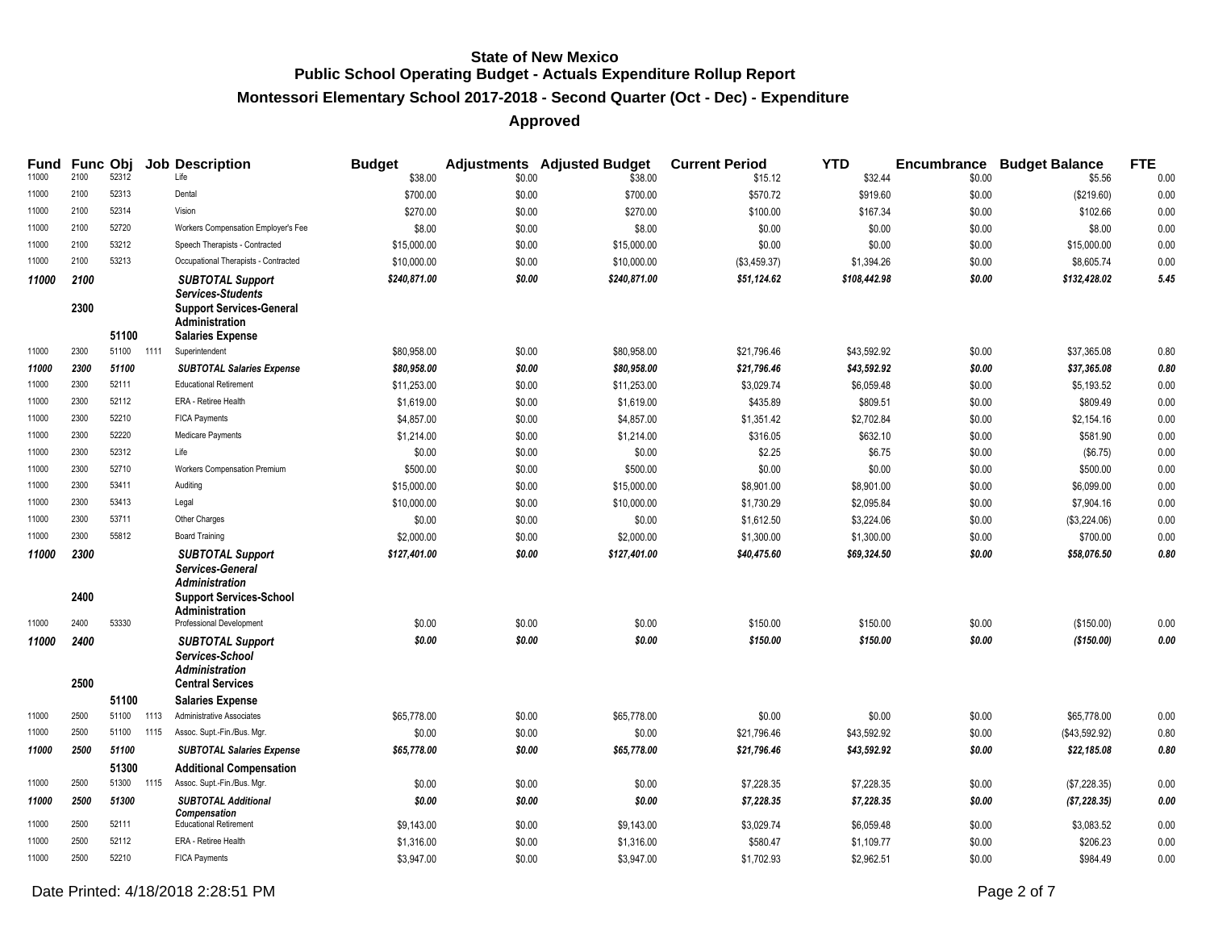## **Montessori Elementary School 2017-2018 - Second Quarter (Oct - Dec) - Expenditure**

## **Approved**

| Fund  |              |       |      | Func Obj Job Description                                                                                                                   | <b>Budget</b> |        | <b>Adjustments</b> Adjusted Budget | <b>Current Period</b> | <b>YTD</b>   |        | <b>Encumbrance Budget Balance</b> | <b>FTE</b> |
|-------|--------------|-------|------|--------------------------------------------------------------------------------------------------------------------------------------------|---------------|--------|------------------------------------|-----------------------|--------------|--------|-----------------------------------|------------|
| 11000 | 2100         | 52312 |      | Life                                                                                                                                       | \$38.00       | \$0.00 | \$38.00                            | \$15.12               | \$32.44      | \$0.00 | \$5.56                            | 0.00       |
| 11000 | 2100         | 52313 |      | Dental                                                                                                                                     | \$700.00      | \$0.00 | \$700.00                           | \$570.72              | \$919.60     | \$0.00 | (\$219.60)                        | 0.00       |
| 11000 | 2100         | 52314 |      | Vision                                                                                                                                     | \$270.00      | \$0.00 | \$270.00                           | \$100.00              | \$167.34     | \$0.00 | \$102.66                          | 0.00       |
| 11000 | 2100         | 52720 |      | Workers Compensation Employer's Fee                                                                                                        | \$8.00        | \$0.00 | \$8.00                             | \$0.00                | \$0.00       | \$0.00 | \$8.00                            | 0.00       |
| 11000 | 2100         | 53212 |      | Speech Therapists - Contracted                                                                                                             | \$15,000.00   | \$0.00 | \$15,000.00                        | \$0.00                | \$0.00       | \$0.00 | \$15,000.00                       | 0.00       |
| 11000 | 2100         | 53213 |      | Occupational Therapists - Contracted                                                                                                       | \$10,000.00   | \$0.00 | \$10,000.00                        | (\$3,459.37)          | \$1,394.26   | \$0.00 | \$8,605.74                        | 0.00       |
| 11000 | 2100<br>2300 | 51100 |      | <b>SUBTOTAL Support</b><br><b>Services-Students</b><br><b>Support Services-General</b><br><b>Administration</b><br><b>Salaries Expense</b> | \$240,871.00  | \$0.00 | \$240,871.00                       | \$51,124.62           | \$108,442.98 | \$0.00 | \$132,428.02                      | 5.45       |
| 11000 | 2300         | 51100 | 1111 | Superintendent                                                                                                                             | \$80,958.00   | \$0.00 | \$80,958.00                        | \$21,796.46           | \$43,592.92  | \$0.00 | \$37,365.08                       | 0.80       |
| 11000 | 2300         | 51100 |      | <b>SUBTOTAL Salaries Expense</b>                                                                                                           | \$80,958.00   | \$0.00 | \$80,958.00                        | \$21,796.46           | \$43,592.92  | \$0.00 | \$37,365.08                       | 0.80       |
| 11000 | 2300         | 52111 |      | <b>Educational Retirement</b>                                                                                                              | \$11,253.00   | \$0.00 | \$11,253.00                        | \$3,029.74            | \$6,059.48   | \$0.00 | \$5,193.52                        | 0.00       |
| 11000 | 2300         | 52112 |      | ERA - Retiree Health                                                                                                                       | \$1,619.00    | \$0.00 | \$1,619.00                         | \$435.89              | \$809.51     | \$0.00 | \$809.49                          | 0.00       |
| 11000 | 2300         | 52210 |      | <b>FICA Payments</b>                                                                                                                       | \$4,857.00    | \$0.00 | \$4,857.00                         | \$1,351.42            | \$2,702.84   | \$0.00 | \$2,154.16                        | 0.00       |
| 11000 | 2300         | 52220 |      | Medicare Payments                                                                                                                          | \$1,214.00    | \$0.00 | \$1,214.00                         | \$316.05              | \$632.10     | \$0.00 | \$581.90                          | 0.00       |
| 11000 | 2300         | 52312 |      | Life                                                                                                                                       | \$0.00        | \$0.00 | \$0.00                             | \$2.25                | \$6.75       | \$0.00 | (\$6.75)                          | 0.00       |
| 11000 | 2300         | 52710 |      | Workers Compensation Premium                                                                                                               | \$500.00      | \$0.00 | \$500.00                           | \$0.00                | \$0.00       | \$0.00 | \$500.00                          | 0.00       |
| 11000 | 2300         | 53411 |      | Auditing                                                                                                                                   | \$15,000.00   | \$0.00 | \$15,000.00                        | \$8,901.00            | \$8,901.00   | \$0.00 | \$6,099.00                        | 0.00       |
| 11000 | 2300         | 53413 |      | Legal                                                                                                                                      | \$10,000.00   | \$0.00 | \$10,000.00                        | \$1,730.29            | \$2.095.84   | \$0.00 | \$7,904.16                        | 0.00       |
| 11000 | 2300         | 53711 |      | Other Charges                                                                                                                              | \$0.00        | \$0.00 | \$0.00                             | \$1,612.50            | \$3,224.06   | \$0.00 | (\$3,224.06)                      | 0.00       |
| 11000 | 2300         | 55812 |      | <b>Board Training</b>                                                                                                                      | \$2,000.00    | \$0.00 | \$2,000.00                         | \$1,300.00            | \$1,300.00   | \$0.00 | \$700.00                          | 0.00       |
| 11000 | 2300<br>2400 |       |      | <b>SUBTOTAL Support</b><br>Services-General<br>Administration<br><b>Support Services-School</b><br>Administration                          | \$127,401.00  | \$0.00 | \$127,401.00                       | \$40,475.60           | \$69,324.50  | \$0.00 | \$58,076.50                       | 0.80       |
| 11000 | 2400         | 53330 |      | Professional Development                                                                                                                   | \$0.00        | \$0.00 | \$0.00                             | \$150.00              | \$150.00     | \$0.00 | (\$150.00)                        | 0.00       |
| 11000 | 2400<br>2500 |       |      | <b>SUBTOTAL Support</b><br>Services-School<br><b>Administration</b><br><b>Central Services</b>                                             | \$0.00        | \$0.00 | \$0.00                             | \$150.00              | \$150.00     | \$0.00 | (\$150.00)                        | 0.00       |
|       |              | 51100 |      | <b>Salaries Expense</b>                                                                                                                    |               |        |                                    |                       |              |        |                                   |            |
| 11000 | 2500         | 51100 | 1113 | Administrative Associates                                                                                                                  | \$65,778.00   | \$0.00 | \$65,778.00                        | \$0.00                | \$0.00       | \$0.00 | \$65,778.00                       | 0.00       |
| 11000 | 2500         | 51100 | 1115 | Assoc. Supt.-Fin./Bus. Mgr.                                                                                                                | \$0.00        | \$0.00 | \$0.00                             | \$21,796.46           | \$43,592.92  | \$0.00 | (\$43,592.92)                     | 0.80       |
| 11000 | 2500         | 51100 |      | <b>SUBTOTAL Salaries Expense</b>                                                                                                           | \$65,778.00   | \$0.00 | \$65,778.00                        | \$21,796.46           | \$43,592.92  | \$0.00 | \$22,185.08                       | 0.80       |
|       |              | 51300 |      | <b>Additional Compensation</b>                                                                                                             |               |        |                                    |                       |              |        |                                   |            |
| 11000 | 2500         | 51300 | 1115 | Assoc. Supt.-Fin./Bus. Mgr.                                                                                                                | \$0.00        | \$0.00 | \$0.00                             | \$7,228.35            | \$7,228.35   | \$0.00 | (\$7,228.35)                      | 0.00       |
| 11000 | 2500         | 51300 |      | <b>SUBTOTAL Additional</b><br><b>Compensation</b>                                                                                          | \$0.00        | \$0.00 | \$0.00                             | \$7,228.35            | \$7,228.35   | \$0.00 | (\$7,228.35)                      | 0.00       |
| 11000 | 2500         | 52111 |      | <b>Educational Retirement</b>                                                                                                              | \$9,143.00    | \$0.00 | \$9,143.00                         | \$3,029.74            | \$6,059.48   | \$0.00 | \$3,083.52                        | 0.00       |
| 11000 | 2500         | 52112 |      | ERA - Retiree Health                                                                                                                       | \$1,316.00    | \$0.00 | \$1,316.00                         | \$580.47              | \$1,109.77   | \$0.00 | \$206.23                          | 0.00       |
| 11000 | 2500         | 52210 |      | <b>FICA Payments</b>                                                                                                                       | \$3,947.00    | \$0.00 | \$3,947.00                         | \$1,702.93            | \$2,962.51   | \$0.00 | \$984.49                          | 0.00       |

Date Printed: 4/18/2018 2:28:51 PM Page 2 of 7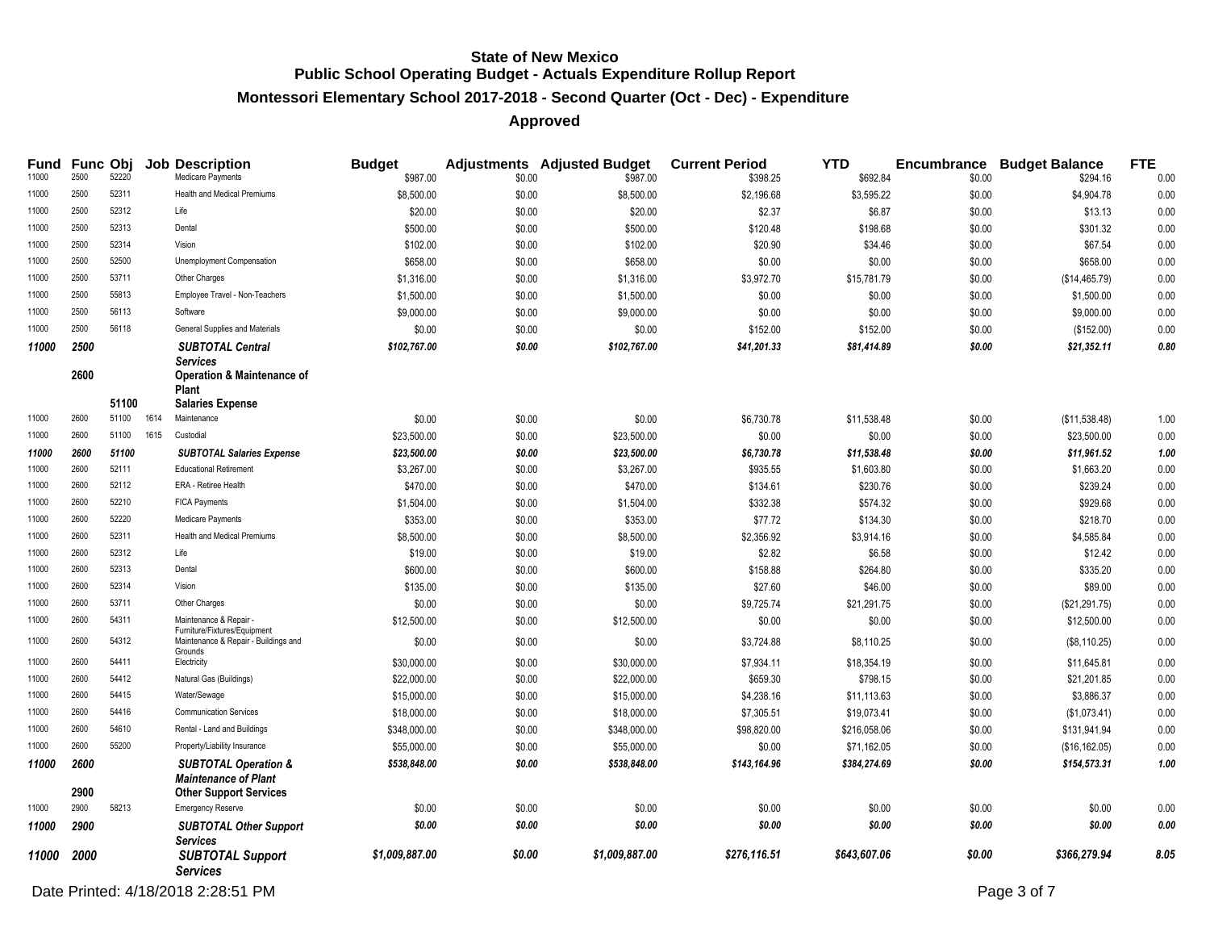## **Montessori Elementary School 2017-2018 - Second Quarter (Oct - Dec) - Expenditure**

#### **Approved**

| Fund<br>11000 | Func Obj<br>2500 | 52220 |      | <b>Job Description</b><br>Medicare Payments                    | <b>Budget</b><br>\$987.00 | \$0.00 | <b>Adjustments</b> Adjusted Budget<br>\$987.00 | <b>Current Period</b><br>\$398.25 | <b>YTD</b><br>\$692.84 | \$0.00 | <b>Encumbrance Budget Balance</b><br>\$294.16 | <b>FTE</b><br>0.00 |
|---------------|------------------|-------|------|----------------------------------------------------------------|---------------------------|--------|------------------------------------------------|-----------------------------------|------------------------|--------|-----------------------------------------------|--------------------|
| 11000         | 2500             | 52311 |      | Health and Medical Premiums                                    | \$8,500.00                | \$0.00 | \$8,500.00                                     | \$2,196.68                        | \$3,595.22             | \$0.00 | \$4,904.78                                    | 0.00               |
| 11000         | 2500             | 52312 |      | Life                                                           | \$20.00                   | \$0.00 | \$20.00                                        | \$2.37                            | \$6.87                 | \$0.00 | \$13.13                                       | 0.00               |
| 11000         | 2500             | 52313 |      | Dental                                                         | \$500.00                  | \$0.00 | \$500.00                                       | \$120.48                          | \$198.68               | \$0.00 | \$301.32                                      | 0.00               |
| 11000         | 2500             | 52314 |      | Vision                                                         | \$102.00                  | \$0.00 | \$102.00                                       | \$20.90                           | \$34.46                | \$0.00 | \$67.54                                       | 0.00               |
| 11000         | 2500             | 52500 |      | Unemployment Compensation                                      | \$658.00                  | \$0.00 | \$658.00                                       | \$0.00                            | \$0.00                 | \$0.00 | \$658.00                                      | 0.00               |
| 11000         | 2500             | 53711 |      | Other Charges                                                  | \$1,316.00                | \$0.00 | \$1,316.00                                     | \$3,972.70                        | \$15,781.79            | \$0.00 | (\$14,465.79)                                 | 0.00               |
| 11000         | 2500             | 55813 |      | Employee Travel - Non-Teachers                                 | \$1,500.00                | \$0.00 | \$1,500.00                                     | \$0.00                            | \$0.00                 | \$0.00 | \$1,500.00                                    | 0.00               |
| 11000         | 2500             | 56113 |      | Software                                                       | \$9,000.00                | \$0.00 | \$9,000.00                                     | \$0.00                            | \$0.00                 | \$0.00 | \$9,000.00                                    | 0.00               |
| 11000         | 2500             | 56118 |      | General Supplies and Materials                                 | \$0.00                    | \$0.00 | \$0.00                                         | \$152.00                          | \$152.00               | \$0.00 | (\$152.00)                                    | 0.00               |
| 11000         | 2500             |       |      | <b>SUBTOTAL Central</b>                                        | \$102,767.00              | \$0.00 | \$102,767.00                                   | \$41,201.33                       | \$81,414.89            | \$0.00 | \$21,352.11                                   | 0.80               |
|               |                  |       |      | <b>Services</b>                                                |                           |        |                                                |                                   |                        |        |                                               |                    |
|               | 2600             |       |      | <b>Operation &amp; Maintenance of</b><br><b>Plant</b>          |                           |        |                                                |                                   |                        |        |                                               |                    |
|               |                  | 51100 |      | <b>Salaries Expense</b>                                        |                           |        |                                                |                                   |                        |        |                                               |                    |
| 11000         | 2600             | 51100 | 1614 | Maintenance                                                    | \$0.00                    | \$0.00 | \$0.00                                         | \$6,730.78                        | \$11,538.48            | \$0.00 | (\$11,538.48)                                 | 1.00               |
| 11000         | 2600             | 51100 | 1615 | Custodial                                                      | \$23,500.00               | \$0.00 | \$23,500.00                                    | \$0.00                            | \$0.00                 | \$0.00 | \$23,500.00                                   | 0.00               |
| 11000         | 2600             | 51100 |      | <b>SUBTOTAL Salaries Expense</b>                               | \$23,500.00               | \$0.00 | \$23,500.00                                    | \$6,730.78                        | \$11,538.48            | \$0.00 | \$11,961.52                                   | 1.00               |
| 11000         | 2600             | 52111 |      | <b>Educational Retirement</b>                                  | \$3,267.00                | \$0.00 | \$3,267.00                                     | \$935.55                          | \$1,603.80             | \$0.00 | \$1,663.20                                    | 0.00               |
| 11000         | 2600             | 52112 |      | ERA - Retiree Health                                           | \$470.00                  | \$0.00 | \$470.00                                       | \$134.61                          | \$230.76               | \$0.00 | \$239.24                                      | 0.00               |
| 11000         | 2600             | 52210 |      | <b>FICA Payments</b>                                           | \$1,504.00                | \$0.00 | \$1,504.00                                     | \$332.38                          | \$574.32               | \$0.00 | \$929.68                                      | 0.00               |
| 11000         | 2600             | 52220 |      | Medicare Payments                                              | \$353.00                  | \$0.00 | \$353.00                                       | \$77.72                           | \$134.30               | \$0.00 | \$218.70                                      | 0.00               |
| 11000         | 2600             | 52311 |      | <b>Health and Medical Premiums</b>                             | \$8,500.00                | \$0.00 | \$8,500.00                                     | \$2,356.92                        | \$3,914.16             | \$0.00 | \$4,585.84                                    | 0.00               |
| 11000         | 2600             | 52312 |      | Life                                                           | \$19.00                   | \$0.00 | \$19.00                                        | \$2.82                            | \$6.58                 | \$0.00 | \$12.42                                       | 0.00               |
| 11000         | 2600             | 52313 |      | Dental                                                         | \$600.00                  | \$0.00 | \$600.00                                       | \$158.88                          | \$264.80               | \$0.00 | \$335.20                                      | 0.00               |
| 11000         | 2600             | 52314 |      | Vision                                                         | \$135.00                  | \$0.00 | \$135.00                                       | \$27.60                           | \$46.00                | \$0.00 | \$89.00                                       | 0.00               |
| 11000         | 2600             | 53711 |      | Other Charges                                                  | \$0.00                    | \$0.00 | \$0.00                                         | \$9,725.74                        | \$21,291.75            | \$0.00 | (\$21,291.75)                                 | 0.00               |
| 11000         | 2600             | 54311 |      | Maintenance & Repair -<br>Furniture/Fixtures/Equipment         | \$12,500.00               | \$0.00 | \$12,500.00                                    | \$0.00                            | \$0.00                 | \$0.00 | \$12,500.00                                   | 0.00               |
| 11000         | 2600             | 54312 |      | Maintenance & Repair - Buildings and<br>Grounds                | \$0.00                    | \$0.00 | \$0.00                                         | \$3,724.88                        | \$8,110.25             | \$0.00 | (\$8,110.25)                                  | 0.00               |
| 11000         | 2600             | 54411 |      | Electricity                                                    | \$30,000.00               | \$0.00 | \$30,000.00                                    | \$7,934.11                        | \$18,354.19            | \$0.00 | \$11,645.81                                   | 0.00               |
| 11000         | 2600             | 54412 |      | Natural Gas (Buildings)                                        | \$22,000.00               | \$0.00 | \$22,000.00                                    | \$659.30                          | \$798.15               | \$0.00 | \$21,201.85                                   | 0.00               |
| 11000         | 2600             | 54415 |      | Water/Sewage                                                   | \$15,000.00               | \$0.00 | \$15,000.00                                    | \$4,238.16                        | \$11,113.63            | \$0.00 | \$3,886.37                                    | 0.00               |
| 11000         | 2600             | 54416 |      | <b>Communication Services</b>                                  | \$18,000.00               | \$0.00 | \$18,000.00                                    | \$7,305.51                        | \$19,073.41            | \$0.00 | (\$1,073.41)                                  | 0.00               |
| 11000         | 2600             | 54610 |      | Rental - Land and Buildings                                    | \$348,000.00              | \$0.00 | \$348,000.00                                   | \$98,820.00                       | \$216,058.06           | \$0.00 | \$131,941.94                                  | 0.00               |
| 11000         | 2600             | 55200 |      | Property/Liability Insurance                                   | \$55,000.00               | \$0.00 | \$55,000.00                                    | \$0.00                            | \$71,162.05            | \$0.00 | (\$16, 162.05)                                | 0.00               |
| 11000         | 2600             |       |      | <b>SUBTOTAL Operation &amp;</b><br><b>Maintenance of Plant</b> | \$538,848.00              | \$0.00 | \$538,848.00                                   | \$143,164.96                      | \$384,274.69           | \$0.00 | \$154,573.31                                  | 1.00               |
| 11000         | 2900<br>2900     | 58213 |      | <b>Other Support Services</b><br><b>Emergency Reserve</b>      | \$0.00                    | \$0.00 | \$0.00                                         | \$0.00                            | \$0.00                 | \$0.00 | \$0.00                                        | 0.00               |
|               |                  |       |      |                                                                | \$0.00                    | \$0.00 | \$0.00                                         | \$0.00                            | \$0.00                 | \$0.00 | \$0.00                                        | 0.00               |
| 11000         | 2900             |       |      | <b>SUBTOTAL Other Support</b><br>Services                      |                           |        |                                                |                                   |                        |        |                                               |                    |
| 11000         | 2000             |       |      | <b>SUBTOTAL Support</b><br><b>Services</b>                     | \$1,009,887.00            | \$0.00 | \$1,009,887.00                                 | \$276,116.51                      | \$643,607.06           | \$0.00 | \$366,279.94                                  | 8.05               |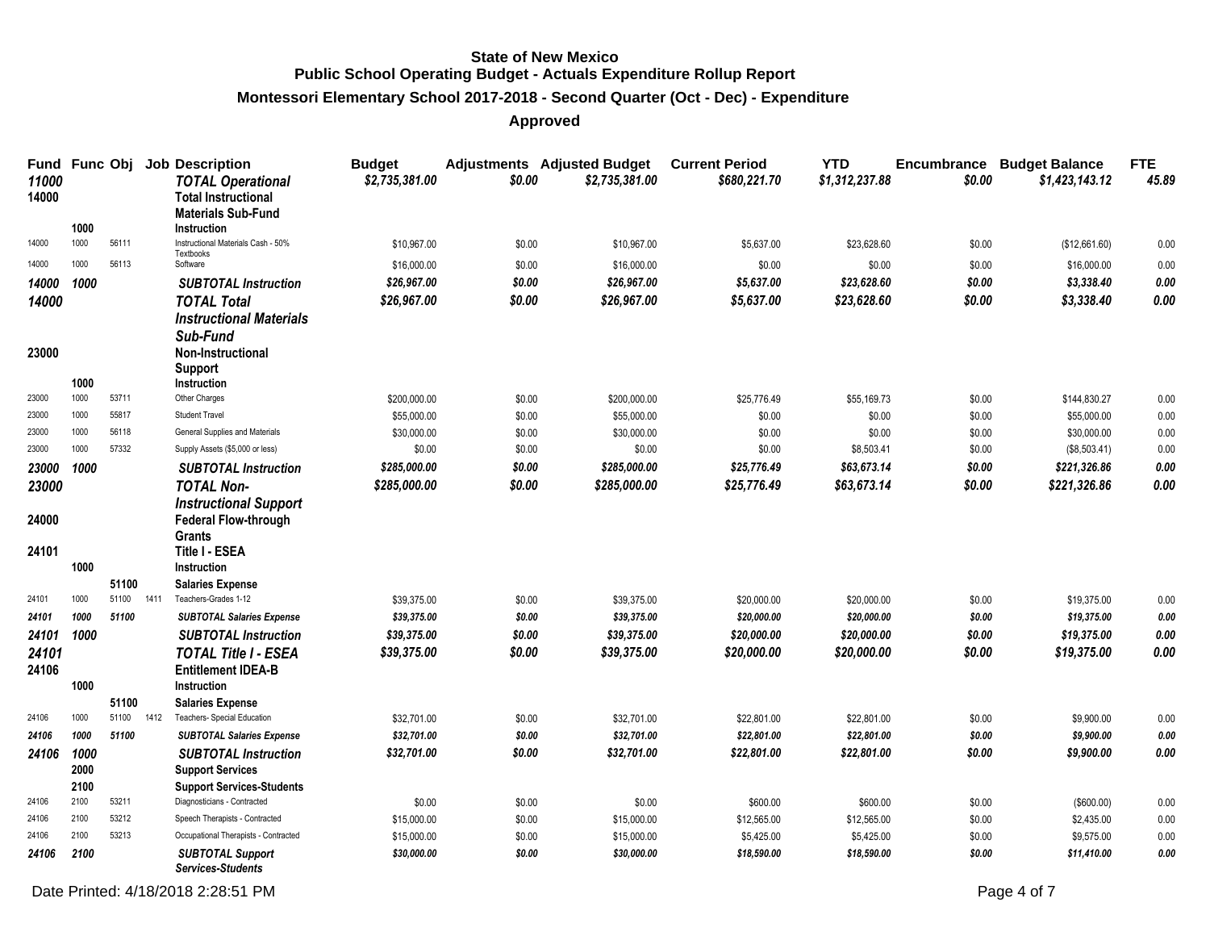## **Montessori Elementary School 2017-2018 - Second Quarter (Oct - Dec) - Expenditure**

**Approved**

| Fund<br>11000<br>14000 | <b>Func Obj</b> |       |      | <b>Job Description</b><br><b>TOTAL Operational</b><br><b>Total Instructional</b><br><b>Materials Sub-Fund</b> | <b>Budget</b><br>\$2,735,381.00 | \$0.00           | <b>Adjustments</b> Adjusted Budget<br>\$2,735,381.00 | <b>Current Period</b><br>\$680,221.70 | <b>YTD</b><br>\$1,312,237.88 | <b>Encumbrance</b><br>\$0.00 | <b>Budget Balance</b><br>\$1,423,143.12 | <b>FTE</b><br>45.89 |
|------------------------|-----------------|-------|------|---------------------------------------------------------------------------------------------------------------|---------------------------------|------------------|------------------------------------------------------|---------------------------------------|------------------------------|------------------------------|-----------------------------------------|---------------------|
|                        | 1000            |       |      | Instruction                                                                                                   |                                 |                  |                                                      |                                       |                              |                              |                                         |                     |
| 14000                  | 1000            | 56111 |      | Instructional Materials Cash - 50%<br>Textbooks                                                               | \$10,967.00                     | \$0.00           | \$10,967.00                                          | \$5,637.00                            | \$23,628.60                  | \$0.00                       | (\$12,661.60)                           | 0.00                |
| 14000                  | 1000            | 56113 |      | Software                                                                                                      | \$16,000.00                     | \$0.00           | \$16,000.00                                          | \$0.00                                | \$0.00                       | \$0.00                       | \$16,000.00                             | 0.00                |
| 14000                  | 1000            |       |      | <b>SUBTOTAL Instruction</b>                                                                                   | \$26.967.00                     | \$0.00           | \$26.967.00                                          | \$5,637.00                            | \$23.628.60                  | \$0.00                       | \$3,338.40                              | 0.00                |
| 14000                  |                 |       |      | <b>TOTAL Total</b>                                                                                            | \$26,967.00                     | \$0.00           | \$26,967.00                                          | \$5,637.00                            | \$23,628.60                  | \$0.00                       | \$3,338.40                              | 0.00                |
|                        |                 |       |      | <b>Instructional Materials</b><br>Sub-Fund                                                                    |                                 |                  |                                                      |                                       |                              |                              |                                         |                     |
| 23000                  | 1000            |       |      | Non-Instructional<br>Support<br>Instruction                                                                   |                                 |                  |                                                      |                                       |                              |                              |                                         |                     |
| 23000                  | 1000            | 53711 |      | Other Charges                                                                                                 | \$200,000.00                    | \$0.00           | \$200,000.00                                         | \$25,776.49                           | \$55,169.73                  | \$0.00                       | \$144,830.27                            | 0.00                |
| 23000                  | 1000            | 55817 |      | <b>Student Travel</b>                                                                                         | \$55,000.00                     | \$0.00           | \$55,000.00                                          | \$0.00                                | \$0.00                       | \$0.00                       | \$55,000.00                             | 0.00                |
| 23000                  | 1000            | 56118 |      | General Supplies and Materials                                                                                | \$30,000.00                     | \$0.00           | \$30,000.00                                          | \$0.00                                | \$0.00                       | \$0.00                       | \$30,000.00                             | 0.00                |
| 23000                  | 1000            | 57332 |      | Supply Assets (\$5,000 or less)                                                                               | \$0.00                          | \$0.00           | \$0.00                                               | \$0.00                                | \$8,503.41                   | \$0.00                       | (\$8,503.41)                            | 0.00                |
| 23000                  | 1000            |       |      | <b>SUBTOTAL Instruction</b>                                                                                   | \$285,000.00                    | \$0.00           | \$285,000.00                                         | \$25,776.49                           | \$63,673.14                  | \$0.00                       | \$221,326.86                            | 0.00                |
| 23000                  |                 |       |      | <b>TOTAL Non-</b>                                                                                             | \$285,000.00                    | \$0.00           | \$285,000.00                                         | \$25,776.49                           | \$63,673.14                  | \$0.00                       | \$221,326.86                            | 0.00                |
| 24000<br>24101         |                 |       |      | <b>Instructional Support</b><br><b>Federal Flow-through</b><br><b>Grants</b><br><b>Title I - ESEA</b>         |                                 |                  |                                                      |                                       |                              |                              |                                         |                     |
|                        | 1000            |       |      | Instruction                                                                                                   |                                 |                  |                                                      |                                       |                              |                              |                                         |                     |
|                        |                 | 51100 |      | <b>Salaries Expense</b>                                                                                       |                                 |                  |                                                      |                                       |                              |                              |                                         |                     |
| 24101                  | 1000            | 51100 | 1411 | Teachers-Grades 1-12                                                                                          | \$39,375.00                     | \$0.00           | \$39,375.00                                          | \$20,000.00                           | \$20,000.00                  | \$0.00                       | \$19,375.00                             | 0.00                |
| 24101                  | 1000            | 51100 |      | <b>SUBTOTAL Salaries Expense</b>                                                                              | \$39,375.00                     | \$0.00           | \$39,375.00                                          | \$20,000.00                           | \$20,000.00                  | \$0.00                       | \$19,375.00                             | 0.00                |
| 24101                  | 1000            |       |      | <b>SUBTOTAL Instruction</b>                                                                                   | \$39,375.00                     | \$0.00           | \$39,375.00                                          | \$20,000.00                           | \$20,000.00                  | \$0.00                       | \$19,375.00                             | 0.00                |
| 24101                  |                 |       |      | <b>TOTAL Title I - ESEA</b>                                                                                   | \$39,375.00                     | \$0.00           | \$39,375.00                                          | \$20,000.00                           | \$20,000.00                  | \$0.00                       | \$19,375.00                             | 0.00                |
| 24106                  | 1000            |       |      | <b>Entitlement IDEA-B</b><br>Instruction                                                                      |                                 |                  |                                                      |                                       |                              |                              |                                         |                     |
|                        |                 | 51100 |      | <b>Salaries Expense</b>                                                                                       |                                 |                  |                                                      |                                       |                              |                              |                                         |                     |
| 24106                  | 1000            | 51100 | 1412 | Teachers- Special Education                                                                                   | \$32,701.00                     | \$0.00           | \$32,701.00                                          | \$22,801.00                           | \$22,801.00                  | \$0.00                       | \$9,900.00                              | 0.00                |
| 24106                  | 1000            | 51100 |      | <b>SUBTOTAL Salaries Expense</b>                                                                              | \$32,701.00                     | \$0.00           | \$32,701.00                                          | \$22,801.00                           | \$22,801.00                  | \$0.00                       | \$9,900.00                              | 0.00                |
| 24106                  | 1000            |       |      | <b>SUBTOTAL Instruction</b>                                                                                   | \$32,701.00                     | \$0.00           | \$32,701.00                                          | \$22,801.00                           | \$22,801.00                  | \$0.00                       | \$9,900.00                              | 0.00                |
|                        | 2000            |       |      | <b>Support Services</b>                                                                                       |                                 |                  |                                                      |                                       |                              |                              |                                         |                     |
| 24106                  | 2100<br>2100    | 53211 |      | <b>Support Services-Students</b><br>Diagnosticians - Contracted                                               |                                 |                  |                                                      |                                       |                              |                              |                                         |                     |
| 24106                  | 2100            | 53212 |      | Speech Therapists - Contracted                                                                                | \$0.00                          | \$0.00           | \$0.00                                               | \$600.00                              | \$600.00                     | \$0.00                       | (\$600.00)                              | 0.00                |
| 24106                  | 2100            | 53213 |      | Occupational Therapists - Contracted                                                                          | \$15,000.00<br>\$15,000.00      | \$0.00<br>\$0.00 | \$15,000.00<br>\$15,000.00                           | \$12,565.00<br>\$5,425.00             | \$12,565.00<br>\$5,425.00    | \$0.00<br>\$0.00             | \$2,435.00<br>\$9,575.00                | 0.00<br>0.00        |
| 24106                  | 2100            |       |      | <b>SUBTOTAL Support</b>                                                                                       | \$30,000.00                     | \$0.00           | \$30,000.00                                          | \$18,590.00                           | \$18,590.00                  | \$0.00                       | \$11,410.00                             | 0.00                |
|                        |                 |       |      | <b>Services-Students</b>                                                                                      |                                 |                  |                                                      |                                       |                              |                              |                                         |                     |

Date Printed: 4/18/2018 2:28:51 PM Page 4 of 7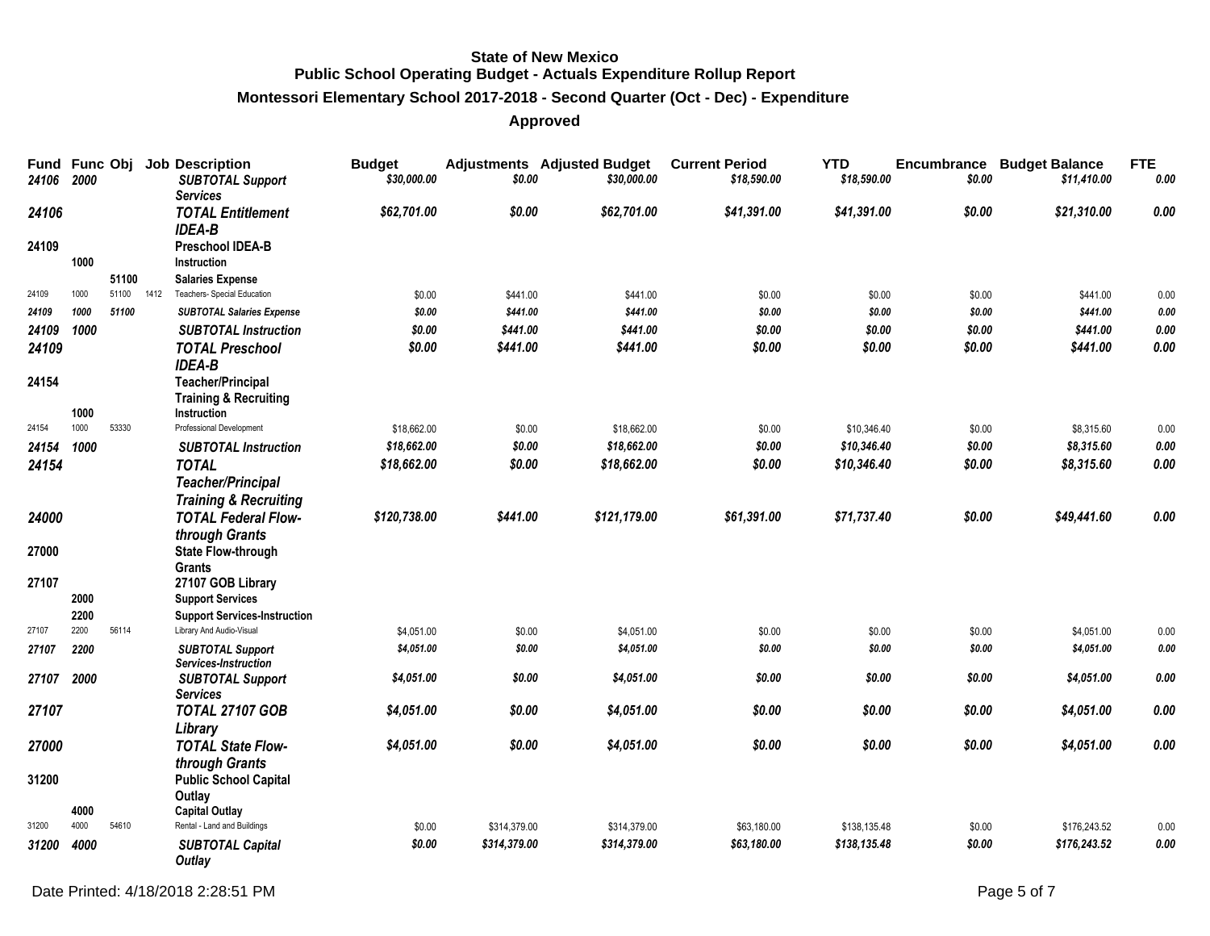## **Montessori Elementary School 2017-2018 - Second Quarter (Oct - Dec) - Expenditure**

**Approved**

| 24106 | Fund Func Obj<br>2000 |                |      | <b>Job Description</b><br><b>SUBTOTAL Support</b><br><b>Services</b> | <b>Budget</b><br>\$30,000.00 | \$0.00       | <b>Adjustments</b> Adjusted Budget<br>\$30,000.00 | <b>Current Period</b><br>\$18,590.00 | <b>YTD</b><br>\$18,590.00 | \$0.00 | <b>Encumbrance Budget Balance</b><br>\$11,410.00 | <b>FTE</b><br>0.00 |
|-------|-----------------------|----------------|------|----------------------------------------------------------------------|------------------------------|--------------|---------------------------------------------------|--------------------------------------|---------------------------|--------|--------------------------------------------------|--------------------|
| 24106 |                       |                |      | <b>TOTAL Entitlement</b>                                             | \$62,701.00                  | \$0.00       | \$62,701.00                                       | \$41,391.00                          | \$41,391.00               | \$0.00 | \$21,310.00                                      | 0.00               |
| 24109 |                       |                |      | <b>IDEA-B</b><br><b>Preschool IDEA-B</b>                             |                              |              |                                                   |                                      |                           |        |                                                  |                    |
|       | 1000                  |                |      | <b>Instruction</b>                                                   |                              |              |                                                   |                                      |                           |        |                                                  |                    |
| 24109 | 1000                  | 51100<br>51100 | 1412 | <b>Salaries Expense</b><br>Teachers- Special Education               | \$0.00                       | \$441.00     | \$441.00                                          | \$0.00                               | \$0.00                    | \$0.00 | \$441.00                                         | 0.00               |
| 24109 | 1000                  | 51100          |      | <b>SUBTOTAL Salaries Expense</b>                                     | \$0.00                       | \$441.00     | \$441.00                                          | \$0.00                               | \$0.00                    | \$0.00 | \$441.00                                         | $0.00\,$           |
| 24109 | 1000                  |                |      | <b>SUBTOTAL Instruction</b>                                          | \$0.00                       | \$441.00     | \$441.00                                          | \$0.00                               | \$0.00                    | \$0.00 | \$441.00                                         | 0.00               |
| 24109 |                       |                |      | <b>TOTAL Preschool</b>                                               | \$0.00                       | \$441.00     | \$441.00                                          | \$0.00                               | \$0.00                    | \$0.00 | \$441.00                                         | 0.00               |
|       |                       |                |      | <b>IDEA-B</b>                                                        |                              |              |                                                   |                                      |                           |        |                                                  |                    |
| 24154 |                       |                |      | <b>Teacher/Principal</b>                                             |                              |              |                                                   |                                      |                           |        |                                                  |                    |
|       |                       |                |      | <b>Training &amp; Recruiting</b>                                     |                              |              |                                                   |                                      |                           |        |                                                  |                    |
| 24154 | 1000<br>1000          | 53330          |      | Instruction<br>Professional Development                              | \$18,662.00                  | \$0.00       | \$18,662.00                                       | \$0.00                               | \$10,346.40               | \$0.00 | \$8,315.60                                       | 0.00               |
| 24154 | 1000                  |                |      | <b>SUBTOTAL Instruction</b>                                          | \$18,662.00                  | \$0.00       | \$18,662.00                                       | \$0.00                               | \$10,346.40               | \$0.00 | \$8,315.60                                       | $0.00\,$           |
| 24154 |                       |                |      | <b>TOTAL</b>                                                         | \$18,662.00                  | \$0.00       | \$18,662.00                                       | \$0.00                               | \$10,346.40               | \$0.00 | \$8,315.60                                       | 0.00               |
|       |                       |                |      | <b>Teacher/Principal</b>                                             |                              |              |                                                   |                                      |                           |        |                                                  |                    |
|       |                       |                |      | <b>Training &amp; Recruiting</b>                                     |                              |              |                                                   |                                      |                           |        |                                                  |                    |
| 24000 |                       |                |      | <b>TOTAL Federal Flow-</b>                                           | \$120,738.00                 | \$441.00     | \$121,179.00                                      | \$61,391.00                          | \$71,737.40               | \$0.00 | \$49,441.60                                      | 0.00               |
|       |                       |                |      | through Grants                                                       |                              |              |                                                   |                                      |                           |        |                                                  |                    |
| 27000 |                       |                |      | <b>State Flow-through</b>                                            |                              |              |                                                   |                                      |                           |        |                                                  |                    |
|       |                       |                |      | Grants                                                               |                              |              |                                                   |                                      |                           |        |                                                  |                    |
| 27107 |                       |                |      | 27107 GOB Library                                                    |                              |              |                                                   |                                      |                           |        |                                                  |                    |
|       | 2000                  |                |      | <b>Support Services</b>                                              |                              |              |                                                   |                                      |                           |        |                                                  |                    |
|       | 2200                  |                |      | <b>Support Services-Instruction</b>                                  |                              |              |                                                   |                                      |                           |        |                                                  |                    |
| 27107 | 2200                  | 56114          |      | Library And Audio-Visual                                             | \$4,051.00                   | \$0.00       | \$4,051.00                                        | \$0.00                               | \$0.00                    | \$0.00 | \$4,051.00                                       | 0.00               |
| 27107 | 2200                  |                |      | <b>SUBTOTAL Support</b><br>Services-Instruction                      | \$4,051.00                   | \$0.00       | \$4,051.00                                        | \$0.00                               | \$0.00                    | \$0.00 | \$4,051.00                                       | 0.00               |
| 27107 | 2000                  |                |      | <b>SUBTOTAL Support</b>                                              | \$4,051.00                   | \$0.00       | \$4,051.00                                        | \$0.00                               | \$0.00                    | \$0.00 | \$4,051.00                                       | 0.00               |
|       |                       |                |      | <b>Services</b>                                                      |                              |              |                                                   |                                      |                           |        |                                                  |                    |
| 27107 |                       |                |      | <b>TOTAL 27107 GOB</b>                                               | \$4,051.00                   | \$0.00       | \$4,051.00                                        | \$0.00                               | \$0.00                    | \$0.00 | \$4,051.00                                       | 0.00               |
| 27000 |                       |                |      | Library<br><b>TOTAL State Flow-</b>                                  | \$4,051.00                   | \$0.00       | \$4,051.00                                        | \$0.00                               | \$0.00                    | \$0.00 | \$4,051.00                                       | 0.00               |
|       |                       |                |      |                                                                      |                              |              |                                                   |                                      |                           |        |                                                  |                    |
| 31200 |                       |                |      | through Grants<br><b>Public School Capital</b>                       |                              |              |                                                   |                                      |                           |        |                                                  |                    |
|       |                       |                |      | Outlay                                                               |                              |              |                                                   |                                      |                           |        |                                                  |                    |
|       | 4000                  |                |      | <b>Capital Outlay</b>                                                |                              |              |                                                   |                                      |                           |        |                                                  |                    |
| 31200 | 4000                  | 54610          |      | Rental - Land and Buildings                                          | \$0.00                       | \$314,379.00 | \$314,379.00                                      | \$63,180.00                          | \$138,135.48              | \$0.00 | \$176,243.52                                     | 0.00               |
| 31200 | 4000                  |                |      | <b>SUBTOTAL Capital</b><br>Outlay                                    | \$0.00                       | \$314,379.00 | \$314,379.00                                      | \$63,180.00                          | \$138,135.48              | \$0.00 | \$176,243.52                                     | 0.00               |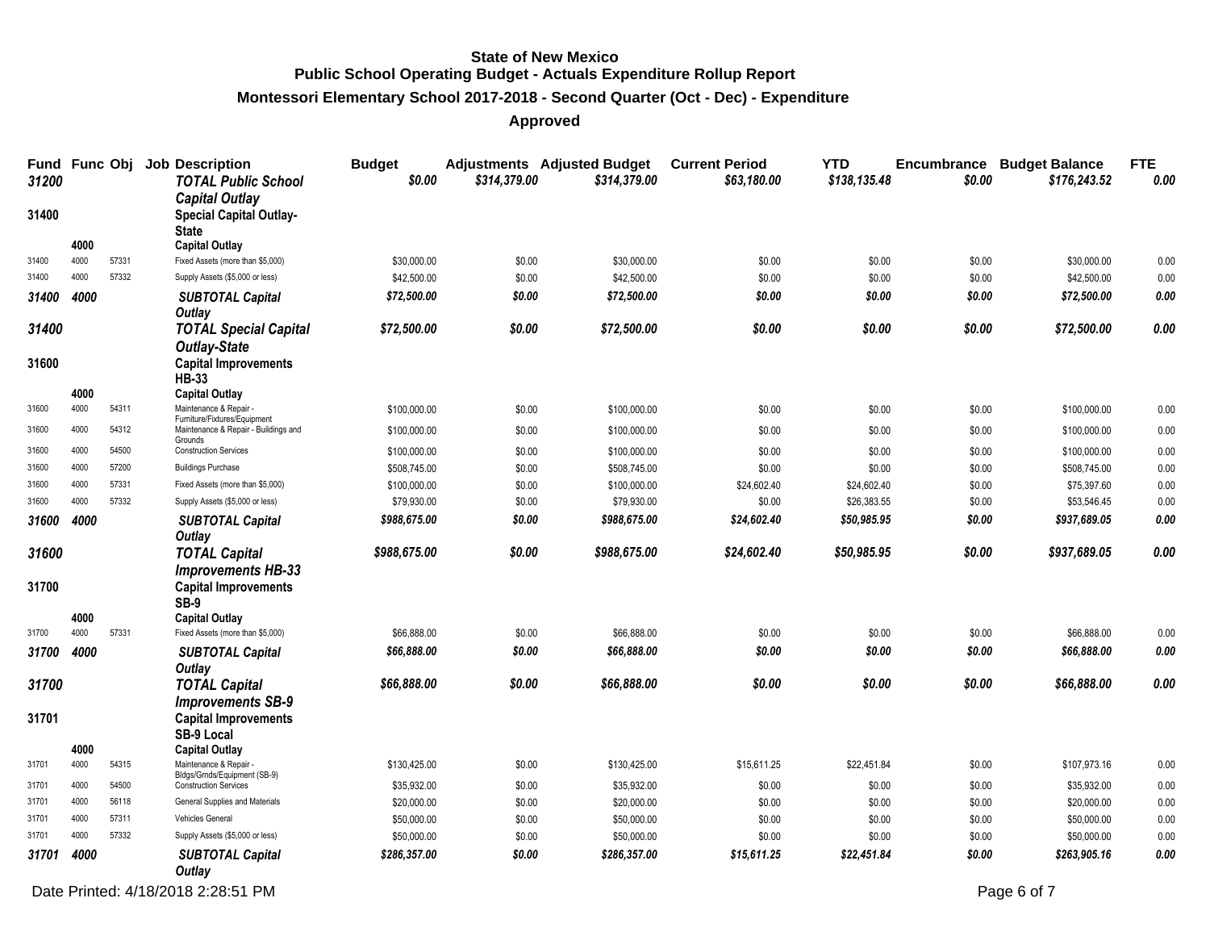## **Montessori Elementary School 2017-2018 - Second Quarter (Oct - Dec) - Expenditure**

**Approved**

| Fund Func Obj<br>31200 |              |       | <b>Job Description</b><br><b>TOTAL Public School</b>                    | <b>Budget</b><br>\$0.00 | \$314,379.00 | <b>Adjustments</b> Adjusted Budget<br>\$314,379.00 | <b>Current Period</b><br>\$63,180.00 | <b>YTD</b><br>\$138,135.48 | \$0.00 | <b>Encumbrance Budget Balance</b><br>\$176,243.52 | <b>FTE</b><br>0.00 |
|------------------------|--------------|-------|-------------------------------------------------------------------------|-------------------------|--------------|----------------------------------------------------|--------------------------------------|----------------------------|--------|---------------------------------------------------|--------------------|
| 31400                  |              |       | <b>Capital Outlay</b><br><b>Special Capital Outlay-</b><br><b>State</b> |                         |              |                                                    |                                      |                            |        |                                                   |                    |
| 31400                  | 4000<br>4000 | 57331 | <b>Capital Outlay</b><br>Fixed Assets (more than \$5,000)               | \$30,000.00             | \$0.00       | \$30,000.00                                        | \$0.00                               | \$0.00                     | \$0.00 | \$30,000.00                                       | 0.00               |
| 31400                  | 4000         | 57332 | Supply Assets (\$5,000 or less)                                         | \$42,500.00             | \$0.00       | \$42,500.00                                        | \$0.00                               | \$0.00                     | \$0.00 | \$42,500.00                                       | 0.00               |
| 31400                  | 4000         |       |                                                                         | \$72,500.00             | \$0.00       | \$72,500.00                                        | \$0.00                               | \$0.00                     | \$0.00 | \$72,500.00                                       | $0.00\,$           |
|                        |              |       | <b>SUBTOTAL Capital</b><br>Outlay                                       |                         |              |                                                    |                                      |                            |        |                                                   |                    |
| 31400                  |              |       | <b>TOTAL Special Capital</b>                                            | \$72,500.00             | \$0.00       | \$72,500.00                                        | \$0.00                               | \$0.00                     | \$0.00 | \$72,500.00                                       | 0.00               |
| 31600                  |              |       | <b>Outlay-State</b><br><b>Capital Improvements</b><br><b>HB-33</b>      |                         |              |                                                    |                                      |                            |        |                                                   |                    |
|                        | 4000         |       | <b>Capital Outlay</b>                                                   |                         |              |                                                    |                                      |                            |        |                                                   |                    |
| 31600                  | 4000         | 54311 | Maintenance & Repair<br>Furniture/Fixtures/Equipment                    | \$100,000.00            | \$0.00       | \$100,000.00                                       | \$0.00                               | \$0.00                     | \$0.00 | \$100,000.00                                      | 0.00               |
| 31600                  | 4000         | 54312 | Maintenance & Repair - Buildings and<br>Grounds                         | \$100,000.00            | \$0.00       | \$100,000.00                                       | \$0.00                               | \$0.00                     | \$0.00 | \$100,000.00                                      | 0.00               |
| 31600                  | 4000         | 54500 | <b>Construction Services</b>                                            | \$100,000.00            | \$0.00       | \$100,000.00                                       | \$0.00                               | \$0.00                     | \$0.00 | \$100,000.00                                      | 0.00               |
| 31600                  | 4000         | 57200 | <b>Buildings Purchase</b>                                               | \$508,745.00            | \$0.00       | \$508,745.00                                       | \$0.00                               | \$0.00                     | \$0.00 | \$508,745.00                                      | 0.00               |
| 31600                  | 4000         | 57331 | Fixed Assets (more than \$5,000)                                        | \$100,000.00            | \$0.00       | \$100,000.00                                       | \$24,602.40                          | \$24,602.40                | \$0.00 | \$75,397.60                                       | 0.00               |
| 31600                  | 4000         | 57332 | Supply Assets (\$5,000 or less)                                         | \$79,930.00             | \$0.00       | \$79,930.00                                        | \$0.00                               | \$26,383.55                | \$0.00 | \$53,546.45                                       | 0.00               |
| 31600                  | 4000         |       | <b>SUBTOTAL Capital</b>                                                 | \$988,675.00            | \$0.00       | \$988,675.00                                       | \$24,602.40                          | \$50,985.95                | \$0.00 | \$937,689.05                                      | 0.00               |
|                        |              |       | Outlay                                                                  |                         |              |                                                    |                                      |                            |        |                                                   |                    |
| 31600                  |              |       | <b>TOTAL Capital</b>                                                    | \$988,675.00            | \$0.00       | \$988,675.00                                       | \$24,602.40                          | \$50,985.95                | \$0.00 | \$937,689.05                                      | 0.00               |
|                        |              |       | <b>Improvements HB-33</b>                                               |                         |              |                                                    |                                      |                            |        |                                                   |                    |
| 31700                  |              |       | <b>Capital Improvements</b><br><b>SB-9</b>                              |                         |              |                                                    |                                      |                            |        |                                                   |                    |
|                        | 4000<br>4000 |       | <b>Capital Outlay</b>                                                   |                         |              |                                                    |                                      |                            |        |                                                   |                    |
| 31700                  |              | 57331 | Fixed Assets (more than \$5,000)                                        | \$66,888.00             | \$0.00       | \$66,888.00                                        | \$0.00                               | \$0.00                     | \$0.00 | \$66,888.00                                       | 0.00               |
| 31700                  | 4000         |       | <b>SUBTOTAL Capital</b><br>Outlay                                       | \$66,888.00             | \$0.00       | \$66,888.00                                        | \$0.00                               | \$0.00                     | \$0.00 | \$66,888.00                                       | $0.00\,$           |
| 31700                  |              |       | <b>TOTAL Capital</b><br><b>Improvements SB-9</b>                        | \$66,888.00             | \$0.00       | \$66,888.00                                        | \$0.00                               | \$0.00                     | \$0.00 | \$66,888.00                                       | 0.00               |
| 31701                  |              |       | <b>Capital Improvements</b><br><b>SB-9 Local</b>                        |                         |              |                                                    |                                      |                            |        |                                                   |                    |
|                        | 4000<br>4000 | 54315 | <b>Capital Outlay</b><br>Maintenance & Repair                           |                         |              |                                                    |                                      |                            |        |                                                   |                    |
| 31701                  |              |       | Bldgs/Grnds/Equipment (SB-9)                                            | \$130,425.00            | \$0.00       | \$130,425.00                                       | \$15,611.25                          | \$22,451.84                | \$0.00 | \$107,973.16                                      | 0.00               |
| 31701                  | 4000         | 54500 | <b>Construction Services</b>                                            | \$35,932.00             | \$0.00       | \$35,932.00                                        | \$0.00                               | \$0.00                     | \$0.00 | \$35,932.00                                       | 0.00               |
| 31701                  | 4000         | 56118 | General Supplies and Materials                                          | \$20,000.00             | \$0.00       | \$20,000.00                                        | \$0.00                               | \$0.00                     | \$0.00 | \$20,000.00                                       | 0.00               |
| 31701                  | 4000         | 57311 | Vehicles General                                                        | \$50,000.00             | \$0.00       | \$50,000.00                                        | \$0.00                               | \$0.00                     | \$0.00 | \$50,000.00                                       | 0.00               |
| 31701                  | 4000         | 57332 | Supply Assets (\$5,000 or less)                                         | \$50,000.00             | \$0.00       | \$50,000.00                                        | \$0.00                               | \$0.00                     | \$0.00 | \$50,000.00                                       | 0.00               |
| 31701                  | 4000         |       | <b>SUBTOTAL Capital</b><br><b>Outlay</b>                                | \$286,357.00            | \$0.00       | \$286,357.00                                       | \$15,611.25                          | \$22,451.84                | \$0.00 | \$263,905.16                                      | 0.00               |

Date Printed: 4/18/2018 2:28:51 PM Page 6 of 7